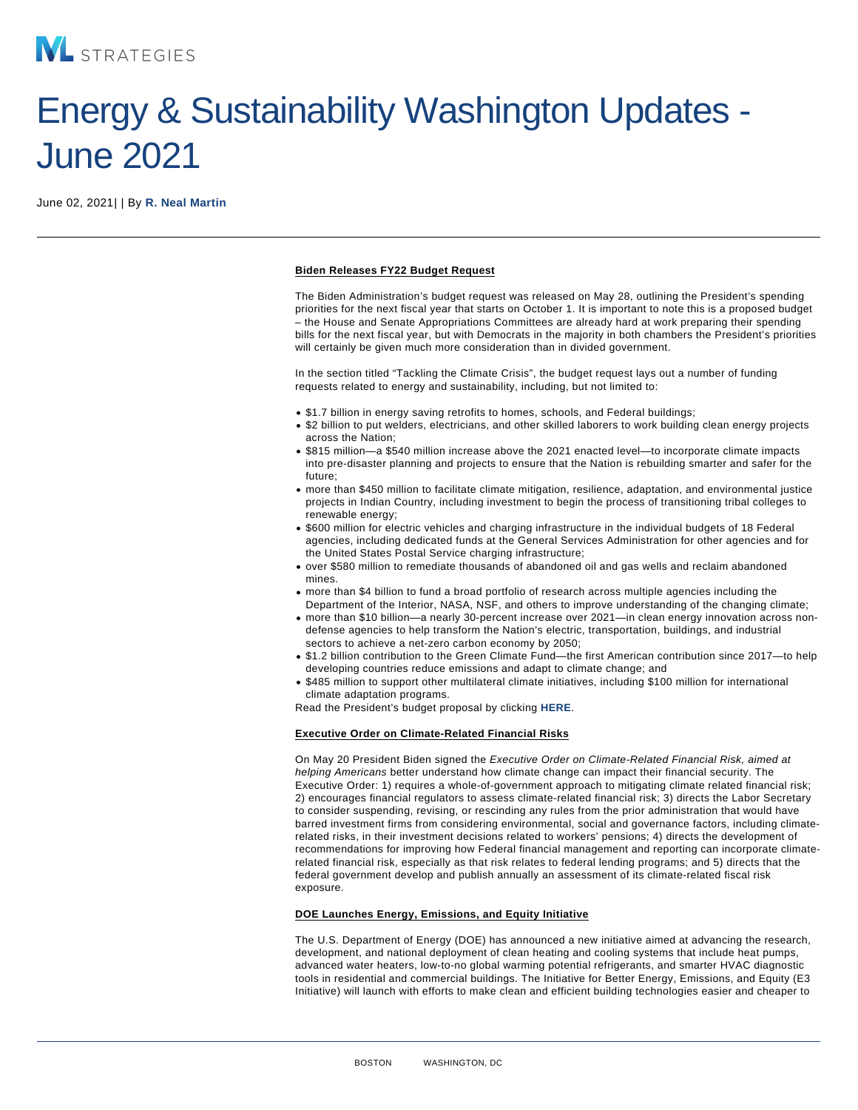# Energy & Sustainability Washington Updates - June 2021

June 02, 2021| | By [R. Neal Martin](/our-people/r-neal-martin)

### Biden Releases FY22 Budget Request

The Biden Administration's budget request was released on May 28, outlining the President's spending priorities for the next fiscal year that starts on October 1. It is important to note this is a proposed budget – the House and Senate Appropriations Committees are already hard at work preparing their spending bills for the next fiscal year, but with Democrats in the majority in both chambers the President's priorities will certainly be given much more consideration than in divided government.

In the section titled "Tackling the Climate Crisis", the budget request lays out a number of funding requests related to energy and sustainability, including, but not limited to:

- \$1.7 billion in energy saving retrofits to homes, schools, and Federal buildings;
- \$2 billion to put welders, electricians, and other skilled laborers to work building clean energy projects across the Nation;
- \$815 million—a \$540 million increase above the 2021 enacted level—to incorporate climate impacts into pre-disaster planning and projects to ensure that the Nation is rebuilding smarter and safer for the future;
- more than \$450 million to facilitate climate mitigation, resilience, adaptation, and environmental justice projects in Indian Country, including investment to begin the process of transitioning tribal colleges to renewable energy;
- \$600 million for electric vehicles and charging infrastructure in the individual budgets of 18 Federal agencies, including dedicated funds at the General Services Administration for other agencies and for the United States Postal Service charging infrastructure;
- over \$580 million to remediate thousands of abandoned oil and gas wells and reclaim abandoned mines.
- more than \$4 billion to fund a broad portfolio of research across multiple agencies including the Department of the Interior, NASA, NSF, and others to improve understanding of the changing climate;
- more than \$10 billion—a nearly 30-percent increase over 2021—in clean energy innovation across nondefense agencies to help transform the Nation's electric, transportation, buildings, and industrial sectors to achieve a net-zero carbon economy by 2050;
- \$1.2 billion contribution to the Green Climate Fund—the first American contribution since 2017—to help developing countries reduce emissions and adapt to climate change; and
- . \$485 million to support other multilateral climate initiatives, including \$100 million for international climate adaptation programs.

Read the President's budget proposal by clicking [HERE.](https://www.whitehouse.gov/omb/budget/)

# Executive Order on Climate-Related Financial Risks

On May 20 President Biden signed the Executive Order on Climate-Related Financial Risk, aimed at helping Americans better understand how climate change can impact their financial security. The Executive Order: 1) requires a whole-of-government approach to mitigating climate related financial risk; 2) encourages financial regulators to assess climate-related financial risk; 3) directs the Labor Secretary to consider suspending, revising, or rescinding any rules from the prior administration that would have barred investment firms from considering environmental, social and governance factors, including climaterelated risks, in their investment decisions related to workers' pensions; 4) directs the development of recommendations for improving how Federal financial management and reporting can incorporate climaterelated financial risk, especially as that risk relates to federal lending programs; and 5) directs that the federal government develop and publish annually an assessment of its climate-related fiscal risk exposure.

#### DOE Launches Energy, Emissions, and Equity Initiative

The U.S. Department of Energy (DOE) has announced a new initiative aimed at advancing the research, development, and national deployment of clean heating and cooling systems that include heat pumps, advanced water heaters, low-to-no global warming potential refrigerants, and smarter HVAC diagnostic tools in residential and commercial buildings. The Initiative for Better Energy, Emissions, and Equity (E3 Initiative) will launch with efforts to make clean and efficient building technologies easier and cheaper to